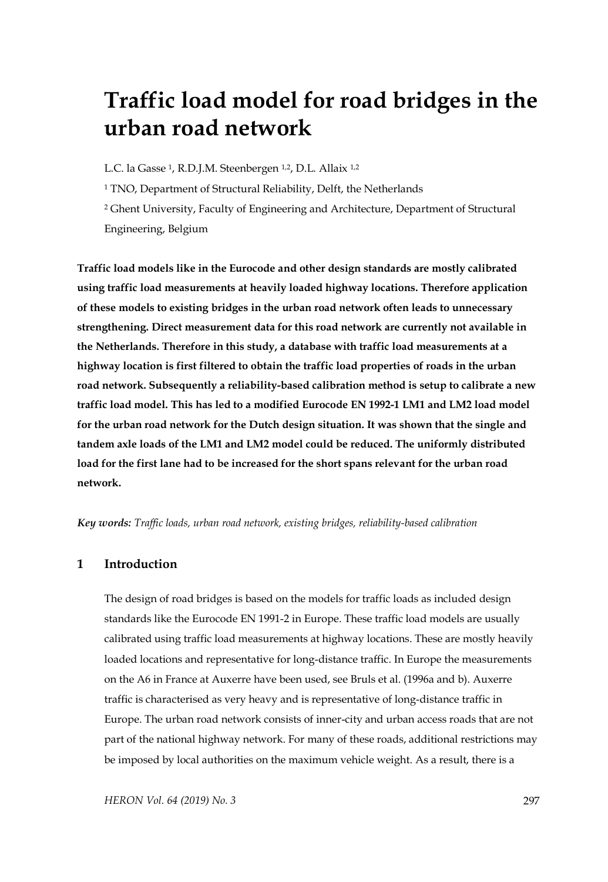# **Traffic load model for road bridges in the urban road network**

L.C. la Gasse<sup>1</sup>, R.D.J.M. Steenbergen<sup>1,2</sup>, D.L. Allaix<sup>1,2</sup>

<sup>1</sup> TNO, Department of Structural Reliability, Delft, the Netherlands

<sup>2</sup> Ghent University, Faculty of Engineering and Architecture, Department of Structural Engineering, Belgium

**Traffic load models like in the Eurocode and other design standards are mostly calibrated using traffic load measurements at heavily loaded highway locations. Therefore application of these models to existing bridges in the urban road network often leads to unnecessary strengthening. Direct measurement data for this road network are currently not available in the Netherlands. Therefore in this study, a database with traffic load measurements at a highway location is first filtered to obtain the traffic load properties of roads in the urban road network. Subsequently a reliability-based calibration method is setup to calibrate a new traffic load model. This has led to a modified Eurocode EN 1992-1 LM1 and LM2 load model for the urban road network for the Dutch design situation. It was shown that the single and tandem axle loads of the LM1 and LM2 model could be reduced. The uniformly distributed load for the first lane had to be increased for the short spans relevant for the urban road network.**

*Key words: Traffic loads, urban road network, existing bridges, reliability-based calibration*

# **1 Introduction**

The design of road bridges is based on the models for traffic loads as included design standards like the Eurocode EN 1991-2 in Europe. These traffic load models are usually calibrated using traffic load measurements at highway locations. These are mostly heavily loaded locations and representative for long-distance traffic. In Europe the measurements on the A6 in France at Auxerre have been used, see Bruls et al. (1996a and b). Auxerre traffic is characterised as very heavy and is representative of long-distance traffic in Europe. The urban road network consists of inner-city and urban access roads that are not part of the national highway network. For many of these roads, additional restrictions may be imposed by local authorities on the maximum vehicle weight. As a result, there is a

*HERON Vol. 64 (2019) No. 3* 297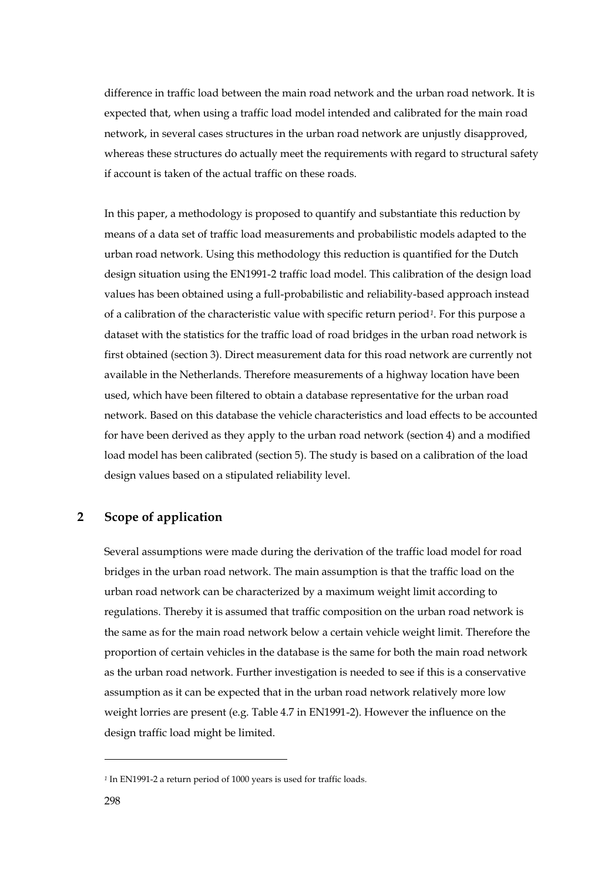difference in traffic load between the main road network and the urban road network. It is expected that, when using a traffic load model intended and calibrated for the main road network, in several cases structures in the urban road network are unjustly disapproved, whereas these structures do actually meet the requirements with regard to structural safety if account is taken of the actual traffic on these roads.

In this paper, a methodology is proposed to quantify and substantiate this reduction by means of a data set of traffic load measurements and probabilistic models adapted to the urban road network. Using this methodology this reduction is quantified for the Dutch design situation using the EN1991-2 traffic load model. This calibration of the design load values has been obtained using a full-probabilistic and reliability-based approach instead of a calibration of the characteristic value with specific return period*1*. For this purpose a dataset with the statistics for the traffic load of road bridges in the urban road network is first obtained (section 3). Direct measurement data for this road network are currently not available in the Netherlands. Therefore measurements of a highway location have been used, which have been filtered to obtain a database representative for the urban road network. Based on this database the vehicle characteristics and load effects to be accounted for have been derived as they apply to the urban road network (section 4) and a modified load model has been calibrated (section 5). The study is based on a calibration of the load design values based on a stipulated reliability level.

# **2 Scope of application**

Several assumptions were made during the derivation of the traffic load model for road bridges in the urban road network. The main assumption is that the traffic load on the urban road network can be characterized by a maximum weight limit according to regulations. Thereby it is assumed that traffic composition on the urban road network is the same as for the main road network below a certain vehicle weight limit. Therefore the proportion of certain vehicles in the database is the same for both the main road network as the urban road network. Further investigation is needed to see if this is a conservative assumption as it can be expected that in the urban road network relatively more low weight lorries are present (e.g. Table 4.7 in EN1991-2). However the influence on the design traffic load might be limited.

*<sup>1</sup>* In EN1991-2 a return period of 1000 years is used for traffic loads.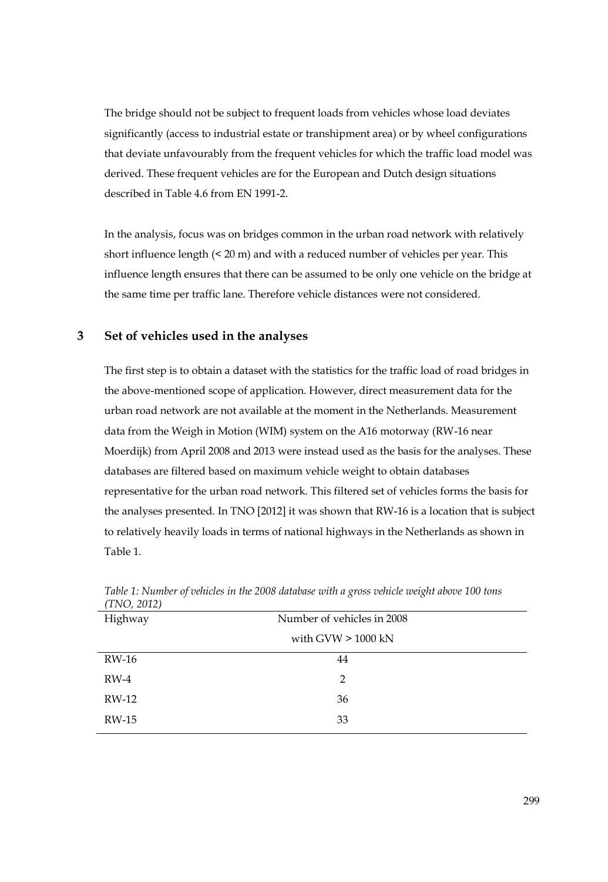The bridge should not be subject to frequent loads from vehicles whose load deviates significantly (access to industrial estate or transhipment area) or by wheel configurations that deviate unfavourably from the frequent vehicles for which the traffic load model was derived. These frequent vehicles are for the European and Dutch design situations described in Table 4.6 from EN 1991-2.

In the analysis, focus was on bridges common in the urban road network with relatively short influence length (< 20 m) and with a reduced number of vehicles per year. This influence length ensures that there can be assumed to be only one vehicle on the bridge at the same time per traffic lane. Therefore vehicle distances were not considered.

# **3 Set of vehicles used in the analyses**

The first step is to obtain a dataset with the statistics for the traffic load of road bridges in the above-mentioned scope of application. However, direct measurement data for the urban road network are not available at the moment in the Netherlands. Measurement data from the Weigh in Motion (WIM) system on the A16 motorway (RW-16 near Moerdijk) from April 2008 and 2013 were instead used as the basis for the analyses. These databases are filtered based on maximum vehicle weight to obtain databases representative for the urban road network. This filtered set of vehicles forms the basis for the analyses presented. In TNO [2012] it was shown that RW-16 is a location that is subject to relatively heavily loads in terms of national highways in the Netherlands as shown in Table 1.

| (110, 2012) |                            |  |
|-------------|----------------------------|--|
| Highway     | Number of vehicles in 2008 |  |
|             | with GVW $> 1000$ kN       |  |
| RW-16       | 44                         |  |
| $RW-4$      | $\overline{2}$             |  |
| RW-12       | 36                         |  |
| RW-15       | 33                         |  |
|             |                            |  |

*Table 1: Number of vehicles in the 2008 database with a gross vehicle weight above 100 tons (TNO, 2012)*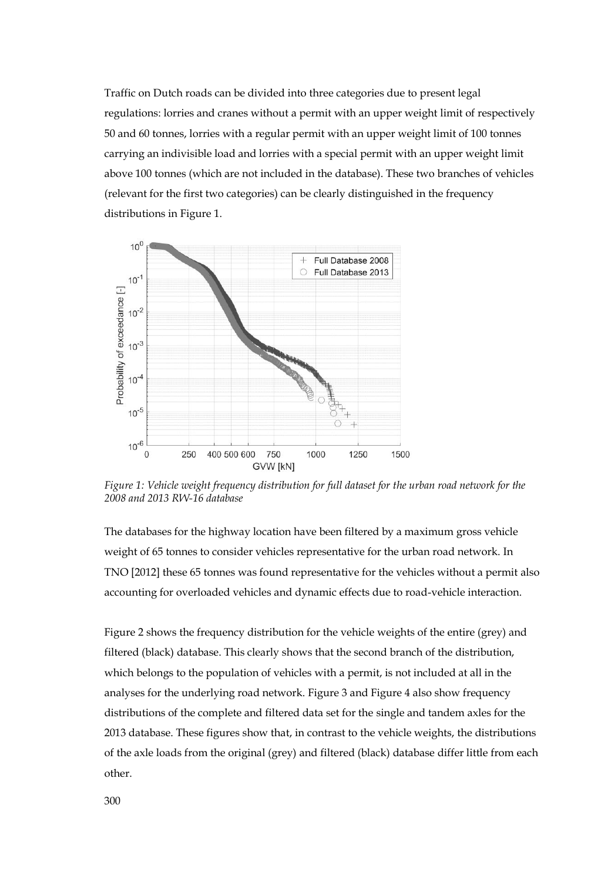Traffic on Dutch roads can be divided into three categories due to present legal regulations: lorries and cranes without a permit with an upper weight limit of respectively 50 and 60 tonnes, lorries with a regular permit with an upper weight limit of 100 tonnes carrying an indivisible load and lorries with a special permit with an upper weight limit above 100 tonnes (which are not included in the database). These two branches of vehicles (relevant for the first two categories) can be clearly distinguished in the frequency distributions in [Figure 1.](#page-3-0)



<span id="page-3-0"></span>*Figure 1: Vehicle weight frequency distribution for full dataset for the urban road network for the 2008 and 2013 RW-16 database*

The databases for the highway location have been filtered by a maximum gross vehicle weight of 65 tonnes to consider vehicles representative for the urban road network. In TNO [2012] these 65 tonnes was found representative for the vehicles without a permit also accounting for overloaded vehicles and dynamic effects due to road-vehicle interaction.

[Figure 2](#page-4-0) shows the frequency distribution for the vehicle weights of the entire (grey) and filtered (black) database. This clearly shows that the second branch of the distribution, which belongs to the population of vehicles with a permit, is not included at all in the analyses for the underlying road network[. Figure 3](#page-4-1) an[d Figure 4](#page-5-0) also show frequency distributions of the complete and filtered data set for the single and tandem axles for the 2013 database. These figures show that, in contrast to the vehicle weights, the distributions of the axle loads from the original (grey) and filtered (black) database differ little from each other.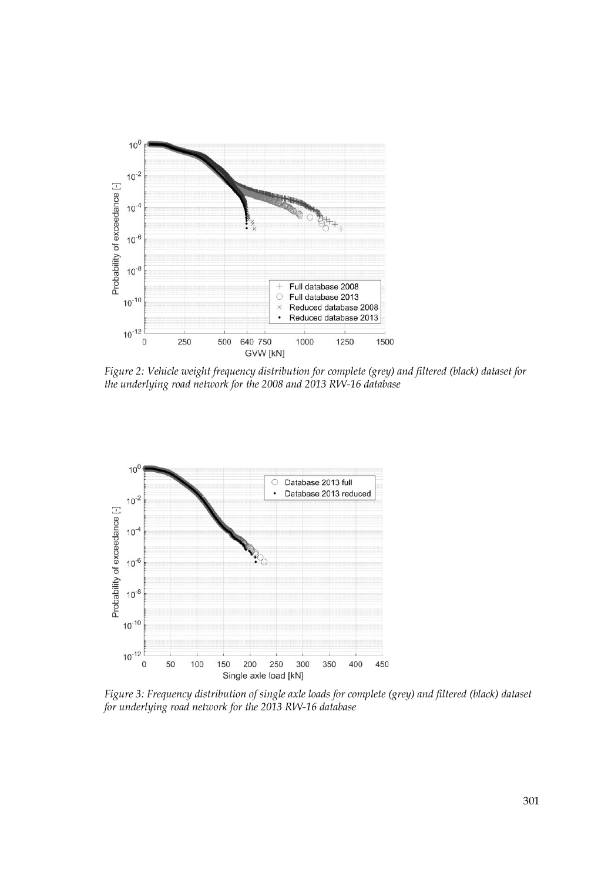

<span id="page-4-0"></span>*Figure 2: Vehicle weight frequency distribution for complete (grey) and filtered (black) dataset for the underlying road network for the 2008 and 2013 RW-16 database*



<span id="page-4-1"></span>*Figure 3: Frequency distribution of single axle loads for complete (grey) and filtered (black) dataset for underlying road network for the 2013 RW-16 database*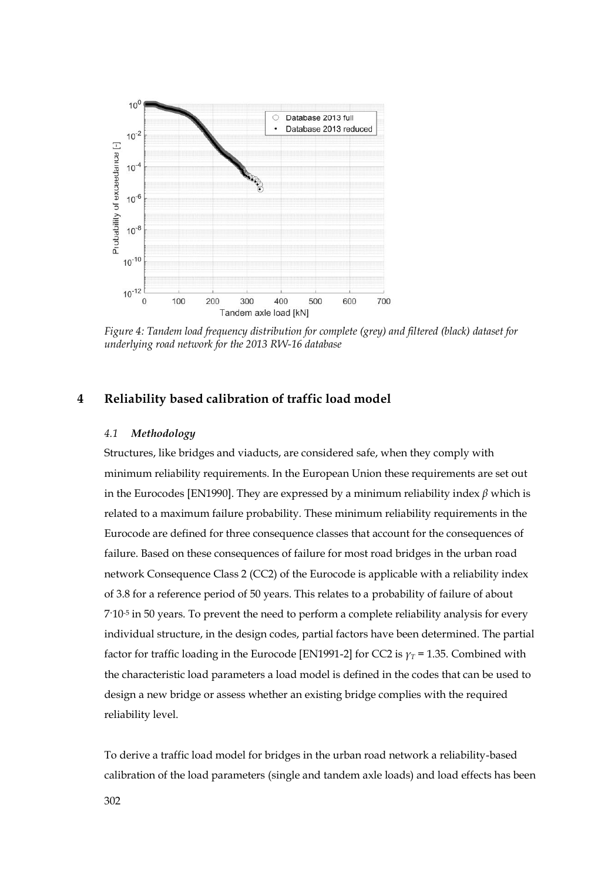

<span id="page-5-0"></span>*Figure 4: Tandem load frequency distribution for complete (grey) and filtered (black) dataset for underlying road network for the 2013 RW-16 database*

## **4 Reliability based calibration of traffic load model**

#### *4.1 Methodology*

Structures, like bridges and viaducts, are considered safe, when they comply with minimum reliability requirements. In the European Union these requirements are set out in the Eurocodes [EN1990]. They are expressed by a minimum reliability index *β* which is related to a maximum failure probability. These minimum reliability requirements in the Eurocode are defined for three consequence classes that account for the consequences of failure. Based on these consequences of failure for most road bridges in the urban road network Consequence Class 2 (CC2) of the Eurocode is applicable with a reliability index of 3.8 for a reference period of 50 years. This relates to a probability of failure of about  $7·10·5$  in 50 years. To prevent the need to perform a complete reliability analysis for every individual structure, in the design codes, partial factors have been determined. The partial factor for traffic loading in the Eurocode [EN1991-2] for CC2 is  $\gamma_T$  = 1.35. Combined with the characteristic load parameters a load model is defined in the codes that can be used to design a new bridge or assess whether an existing bridge complies with the required reliability level.

To derive a traffic load model for bridges in the urban road network a reliability-based calibration of the load parameters (single and tandem axle loads) and load effects has been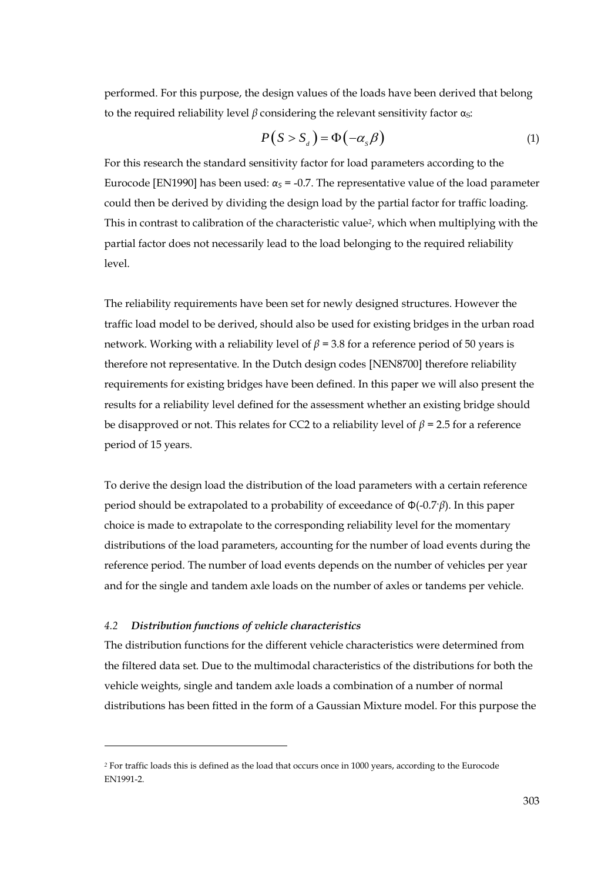performed. For this purpose, the design values of the loads have been derived that belong to the required reliability level  $\beta$  considering the relevant sensitivity factor  $\alpha_{\rm S}$ :

$$
P(S > Sa) = \Phi(-\alphas\beta)
$$
 (1)

For this research the standard sensitivity factor for load parameters according to the Eurocode [EN1990] has been used:  $α<sub>S</sub> = -0.7$ . The representative value of the load parameter could then be derived by dividing the design load by the partial factor for traffic loading. This in contrast to calibration of the characteristic value*2*, which when multiplying with the partial factor does not necessarily lead to the load belonging to the required reliability level.

The reliability requirements have been set for newly designed structures. However the traffic load model to be derived, should also be used for existing bridges in the urban road network. Working with a reliability level of *β* = 3.8 for a reference period of 50 years is therefore not representative. In the Dutch design codes [NEN8700] therefore reliability requirements for existing bridges have been defined. In this paper we will also present the results for a reliability level defined for the assessment whether an existing bridge should be disapproved or not. This relates for CC2 to a reliability level of *β* = 2.5 for a reference period of 15 years.

To derive the design load the distribution of the load parameters with a certain reference period should be extrapolated to a probability of exceedance of Φ(-0.7·*β*). In this paper choice is made to extrapolate to the corresponding reliability level for the momentary distributions of the load parameters, accounting for the number of load events during the reference period. The number of load events depends on the number of vehicles per year and for the single and tandem axle loads on the number of axles or tandems per vehicle.

#### <span id="page-6-0"></span>*4.2 Distribution functions of vehicle characteristics*

-

The distribution functions for the different vehicle characteristics were determined from the filtered data set. Due to the multimodal characteristics of the distributions for both the vehicle weights, single and tandem axle loads a combination of a number of normal distributions has been fitted in the form of a Gaussian Mixture model. For this purpose the

*<sup>2</sup>* For traffic loads this is defined as the load that occurs once in 1000 years, according to the Eurocode EN1991-2.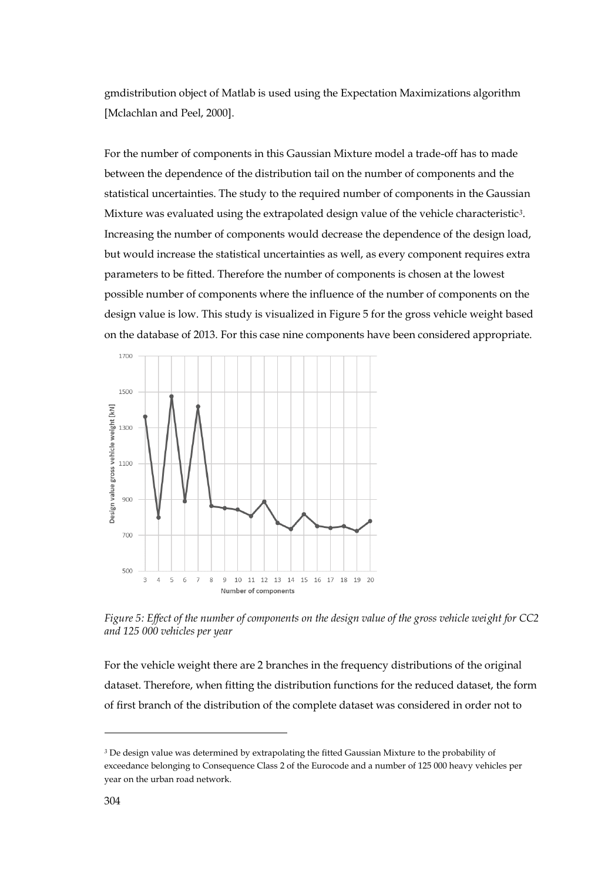gmdistribution object of Matlab is used using the Expectation Maximizations algorithm [Mclachlan and Peel, 2000].

For the number of components in this Gaussian Mixture model a trade-off has to made between the dependence of the distribution tail on the number of components and the statistical uncertainties. The study to the required number of components in the Gaussian Mixture was evaluated using the extrapolated design value of the vehicle characteristic*3*. Increasing the number of components would decrease the dependence of the design load, but would increase the statistical uncertainties as well, as every component requires extra parameters to be fitted. Therefore the number of components is chosen at the lowest possible number of components where the influence of the number of components on the design value is low. This study is visualized i[n Figure 5](#page-7-0) for the gross vehicle weight based on the database of 2013. For this case nine components have been considered appropriate.



<span id="page-7-0"></span>*Figure 5: Effect of the number of components on the design value of the gross vehicle weight for CC2 and 125 000 vehicles per year*

For the vehicle weight there are 2 branches in the frequency distributions of the original dataset. Therefore, when fitting the distribution functions for the reduced dataset, the form of first branch of the distribution of the complete dataset was considered in order not to

*<sup>3</sup>* De design value was determined by extrapolating the fitted Gaussian Mixture to the probability of exceedance belonging to Consequence Class 2 of the Eurocode and a number of 125 000 heavy vehicles per year on the urban road network.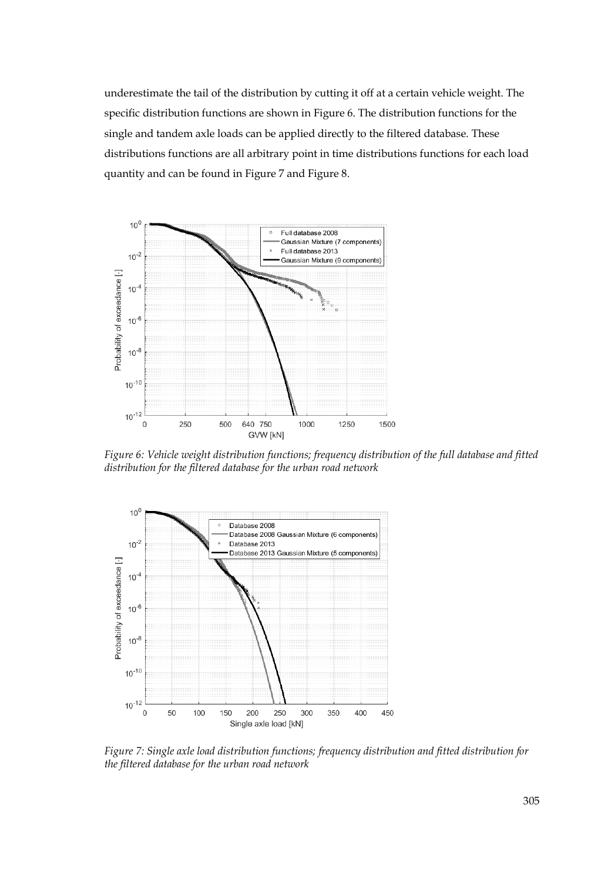underestimate the tail of the distribution by cutting it off at a certain vehicle weight. The specific distribution functions are shown in [Figure 6.](#page-8-0) The distribution functions for the single and tandem axle loads can be applied directly to the filtered database. These distributions functions are all arbitrary point in time distributions functions for each load quantity and can be found i[n Figure 7](#page-8-1) and [Figure 8.](#page-9-0)



<span id="page-8-0"></span>*Figure 6: Vehicle weight distribution functions; frequency distribution of the full database and fitted distribution for the filtered database for the urban road network*



<span id="page-8-1"></span>*Figure 7: Single axle load distribution functions; frequency distribution and fitted distribution for the filtered database for the urban road network*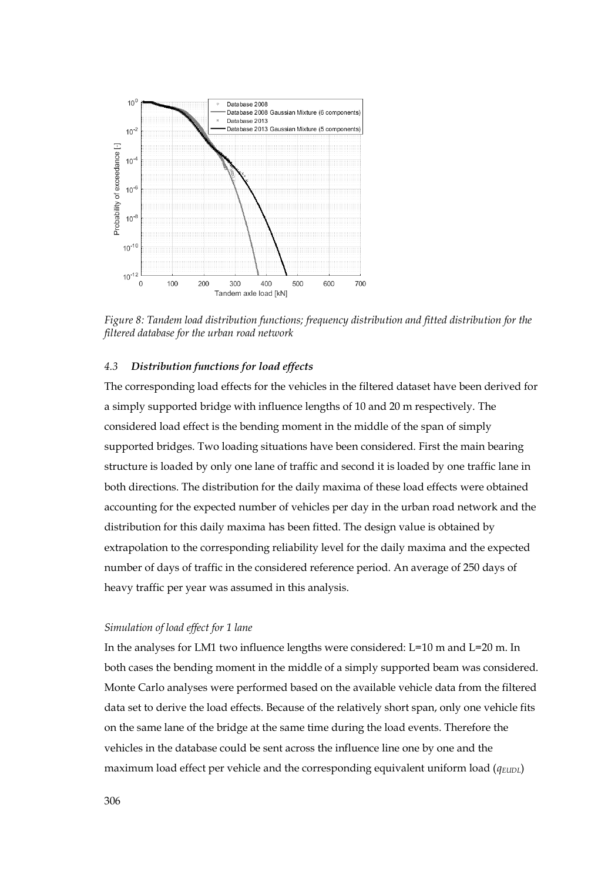

<span id="page-9-0"></span>*Figure 8: Tandem load distribution functions; frequency distribution and fitted distribution for the filtered database for the urban road network*

#### *4.3 Distribution functions for load effects*

The corresponding load effects for the vehicles in the filtered dataset have been derived for a simply supported bridge with influence lengths of 10 and 20 m respectively. The considered load effect is the bending moment in the middle of the span of simply supported bridges. Two loading situations have been considered. First the main bearing structure is loaded by only one lane of traffic and second it is loaded by one traffic lane in both directions. The distribution for the daily maxima of these load effects were obtained accounting for the expected number of vehicles per day in the urban road network and the distribution for this daily maxima has been fitted. The design value is obtained by extrapolation to the corresponding reliability level for the daily maxima and the expected number of days of traffic in the considered reference period. An average of 250 days of heavy traffic per year was assumed in this analysis.

#### *Simulation of load effect for 1 lane*

In the analyses for LM1 two influence lengths were considered: L=10 m and L=20 m. In both cases the bending moment in the middle of a simply supported beam was considered. Monte Carlo analyses were performed based on the available vehicle data from the filtered data set to derive the load effects. Because of the relatively short span, only one vehicle fits on the same lane of the bridge at the same time during the load events. Therefore the vehicles in the database could be sent across the influence line one by one and the maximum load effect per vehicle and the corresponding equivalent uniform load (*qEUDL*)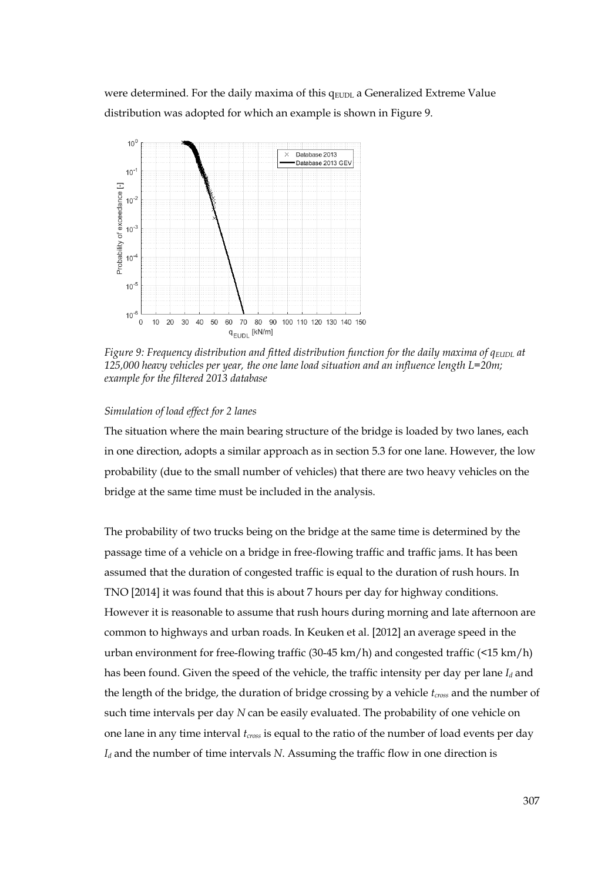were determined. For the daily maxima of this  $q_{EUDL}$  a Generalized Extreme Value distribution was adopted for which an example is shown in [Figure 9.](#page-10-0)



<span id="page-10-0"></span>*Figure 9: Frequency distribution and fitted distribution function for the daily maxima of*  $q_{\text{EUDL}}$  *at 125,000 heavy vehicles per year, the one lane load situation and an influence length L=20m; example for the filtered 2013 database*

#### *Simulation of load effect for 2 lanes*

The situation where the main bearing structure of the bridge is loaded by two lanes, each in one direction, adopts a similar approach as in section 5.3 for one lane. However, the low probability (due to the small number of vehicles) that there are two heavy vehicles on the bridge at the same time must be included in the analysis.

The probability of two trucks being on the bridge at the same time is determined by the passage time of a vehicle on a bridge in free-flowing traffic and traffic jams. It has been assumed that the duration of congested traffic is equal to the duration of rush hours. In TNO [2014] it was found that this is about 7 hours per day for highway conditions. However it is reasonable to assume that rush hours during morning and late afternoon are common to highways and urban roads. In Keuken et al. [2012] an average speed in the urban environment for free-flowing traffic (30-45 km/h) and congested traffic (<15 km/h) has been found. Given the speed of the vehicle, the traffic intensity per day per lane  $I_d$  and the length of the bridge, the duration of bridge crossing by a vehicle *tcross* and the number of such time intervals per day *N* can be easily evaluated. The probability of one vehicle on one lane in any time interval *tcross* is equal to the ratio of the number of load events per day *I<sup>d</sup>* and the number of time intervals *N*. Assuming the traffic flow in one direction is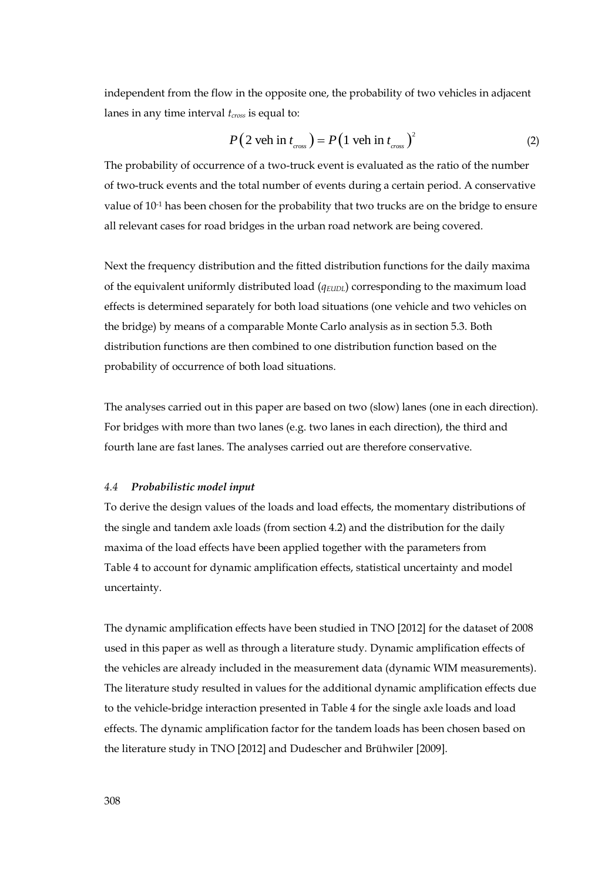independent from the flow in the opposite one, the probability of two vehicles in adjacent lanes in any time interval *tcross* is equal to:

$$
P(2 \text{ veh in } t_{\text{cross}}) = P(1 \text{ veh in } t_{\text{cross}})^2 \tag{2}
$$

The probability of occurrence of a two-truck event is evaluated as the ratio of the number of two-truck events and the total number of events during a certain period. A conservative value of 10-1 has been chosen for the probability that two trucks are on the bridge to ensure all relevant cases for road bridges in the urban road network are being covered.

Next the frequency distribution and the fitted distribution functions for the daily maxima of the equivalent uniformly distributed load (*qEUDL*) corresponding to the maximum load effects is determined separately for both load situations (one vehicle and two vehicles on the bridge) by means of a comparable Monte Carlo analysis as in section 5.3. Both distribution functions are then combined to one distribution function based on the probability of occurrence of both load situations.

The analyses carried out in this paper are based on two (slow) lanes (one in each direction). For bridges with more than two lanes (e.g. two lanes in each direction), the third and fourth lane are fast lanes. The analyses carried out are therefore conservative.

#### *4.4 Probabilistic model input*

To derive the design values of the loads and load effects, the momentary distributions of the single and tandem axle loads (from sectio[n 4.2\)](#page-6-0) and the distribution for the daily maxima of the load effects have been applied together with the parameters fro[m](#page-13-0) [Table 4](#page-13-0) to account for dynamic amplification effects, statistical uncertainty and model uncertainty.

The dynamic amplification effects have been studied in TNO [2012] for the dataset of 2008 used in this paper as well as through a literature study. Dynamic amplification effects of the vehicles are already included in the measurement data (dynamic WIM measurements). The literature study resulted in values for the additional dynamic amplification effects due to the vehicle-bridge interaction presented i[n Table 4](#page-13-1) for the single axle loads and load effects. The dynamic amplification factor for the tandem loads has been chosen based on the literature study in TNO [2012] and Dudescher and Brühwiler [2009].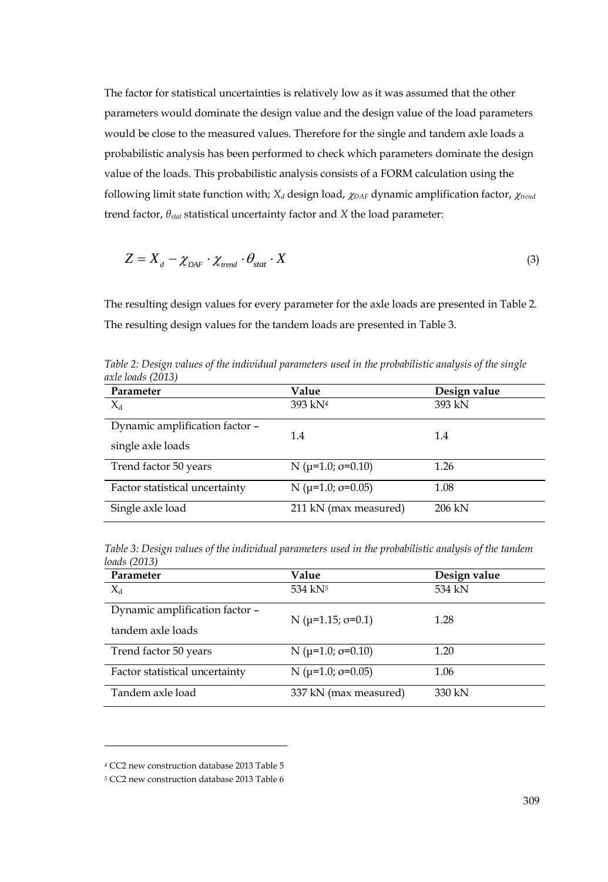The factor for statistical uncertainties is relatively low as it was assumed that the other parameters would dominate the design value and the design value of the load parameters would be close to the measured values. Therefore for the single and tandem axle loads a probabilistic analysis has been performed to check which parameters dominate the design value of the loads. This probabilistic analysis consists of a FORM calculation using the following limit state function with;  $X_d$  design load,  $\chi_{DAF}$  dynamic amplification factor,  $\chi_{trend}$ trend factor, *θstat* statistical uncertainty factor and *X* the load parameter:

$$
Z = X_d - \chi_{\text{DAF}} \cdot \chi_{\text{trend}} \cdot \theta_{\text{stat}} \cdot X \tag{3}
$$

The resulting design values for every parameter for the axle loads are presented in [Table 2.](#page-12-0) The resulting design values for the tandem loads are presented in [Table 3.](#page-12-1) 

<span id="page-12-0"></span>*Table 2: Design values of the individual parameters used in the probabilistic analysis of the single axle loads (2013)*

| Parameter                      | Value                           | Design value |
|--------------------------------|---------------------------------|--------------|
| $\rm X_d$                      | 393 kN <sup>4</sup>             | 393 kN       |
| Dynamic amplification factor - | 1.4                             | 1.4          |
| single axle loads              |                                 |              |
| Trend factor 50 years          | N ( $\mu$ =1.0; $\sigma$ =0.10) | 1.26         |
| Factor statistical uncertainty | N ( $\mu$ =1.0; $\sigma$ =0.05) | 1.08         |
| Single axle load               | 211 kN (max measured)           | 206 kN       |

<span id="page-12-1"></span>*Table 3: Design values of the individual parameters used in the probabilistic analysis of the tandem loads (2013)*

| Parameter                      | Value                           | Design value |
|--------------------------------|---------------------------------|--------------|
| $X_{d}$                        | 534 kN5                         | 534 kN       |
| Dynamic amplification factor - | N ( $\mu$ =1.15; $\sigma$ =0.1) | 1.28         |
| tandem axle loads              |                                 |              |
| Trend factor 50 years          | N ( $\mu$ =1.0; $\sigma$ =0.10) | 1.20         |
| Factor statistical uncertainty | N ( $\mu$ =1.0; $\sigma$ =0.05) | 1.06         |
| Tandem axle load               | 337 kN (max measured)           | 330 kN       |

*<sup>4</sup>* CC2 new construction database 2013 [Table 5](#page-14-0)

*<sup>5</sup>* CC2 new construction database 2013 [Table 6](#page-14-1)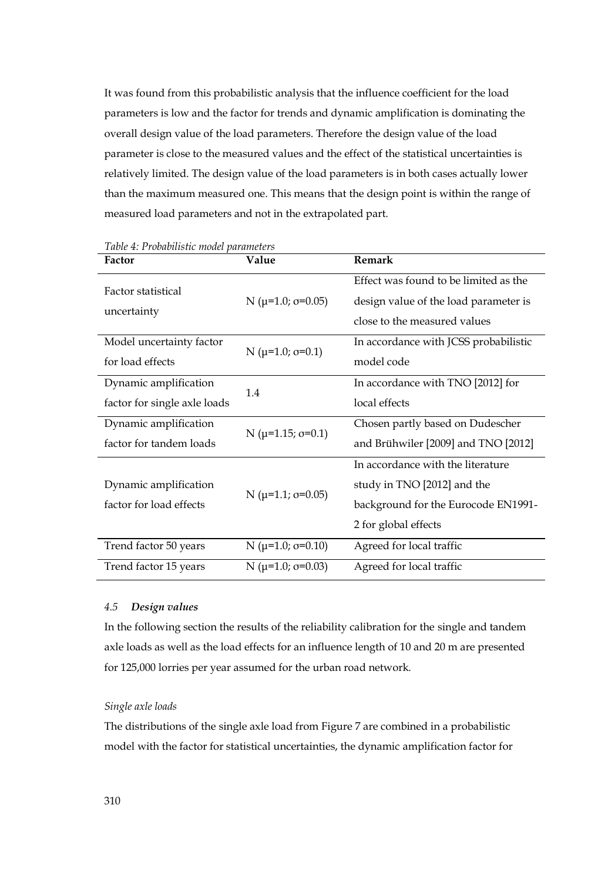It was found from this probabilistic analysis that the influence coefficient for the load parameters is low and the factor for trends and dynamic amplification is dominating the overall design value of the load parameters. Therefore the design value of the load parameter is close to the measured values and the effect of the statistical uncertainties is relatively limited. The design value of the load parameters is in both cases actually lower than the maximum measured one. This means that the design point is within the range of measured load parameters and not in the extrapolated part.

| Factor                                                | Value                           | Remark                                                                                                                          |
|-------------------------------------------------------|---------------------------------|---------------------------------------------------------------------------------------------------------------------------------|
| Factor statistical<br>uncertainty                     | N ( $\mu$ =1.0; $\sigma$ =0.05) | Effect was found to be limited as the<br>design value of the load parameter is<br>close to the measured values                  |
| Model uncertainty factor<br>for load effects          | $N(\mu=1.0; \sigma=0.1)$        | In accordance with JCSS probabilistic<br>model code                                                                             |
| Dynamic amplification<br>factor for single axle loads | 1.4                             | In accordance with TNO [2012] for<br>local effects                                                                              |
| Dynamic amplification<br>factor for tandem loads      | N ( $\mu$ =1.15; $\sigma$ =0.1) | Chosen partly based on Dudescher<br>and Brühwiler [2009] and TNO [2012]                                                         |
| Dynamic amplification<br>factor for load effects      | N ( $\mu$ =1.1; $\sigma$ =0.05) | In accordance with the literature<br>study in TNO [2012] and the<br>background for the Eurocode EN1991-<br>2 for global effects |
| Trend factor 50 years                                 | N $(\mu=1.0; \sigma=0.10)$      | Agreed for local traffic                                                                                                        |
| Trend factor 15 years                                 | N ( $\mu$ =1.0; $\sigma$ =0.03) | Agreed for local traffic                                                                                                        |

<span id="page-13-1"></span><span id="page-13-0"></span>*Table 4: Probabilistic model parameters*

#### *4.5 Design values*

In the following section the results of the reliability calibration for the single and tandem axle loads as well as the load effects for an influence length of 10 and 20 m are presented for 125,000 lorries per year assumed for the urban road network.

#### *Single axle loads*

The distributions of the single axle load fro[m Figure 7](#page-8-1) are combined in a probabilistic model with the factor for statistical uncertainties, the dynamic amplification factor for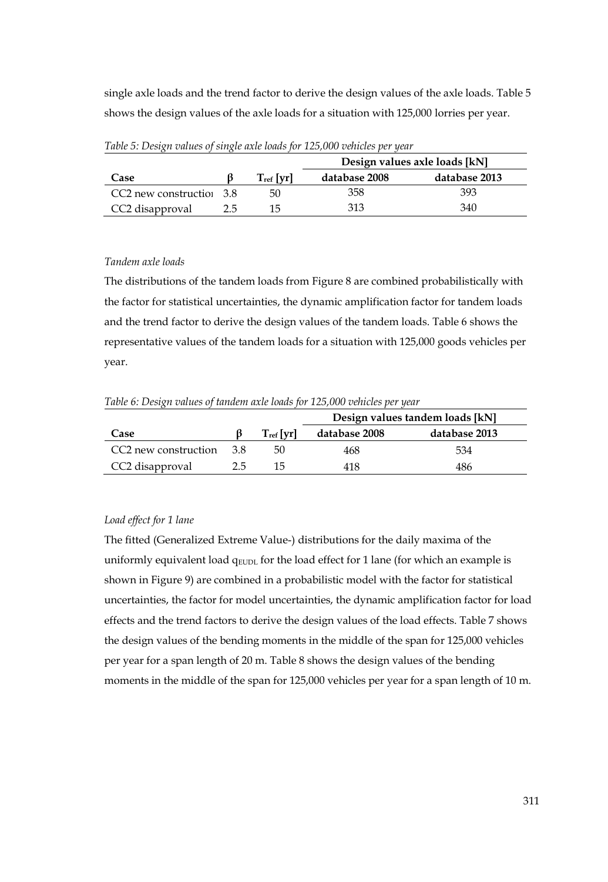single axle loads and the trend factor to derive the design values of the axle loads[. Table 5](#page-14-0) shows the design values of the axle loads for a situation with 125,000 lorries per year.

|                            |                  | Design values axle loads [kN] |               |  |
|----------------------------|------------------|-------------------------------|---------------|--|
| Case                       | $T_{ref}$   $yr$ | database 2008                 | database 2013 |  |
| $CC2$ new construction 3.8 | 50               | 358                           | 393           |  |
| CC2 disapproval            | 15               | 313                           | 340           |  |

<span id="page-14-0"></span>*Table 5: Design values of single axle loads for 125,000 vehicles per year*

#### *Tandem axle loads*

The distributions of the tandem loads from [Figure 8](#page-9-0) are combined probabilistically with the factor for statistical uncertainties, the dynamic amplification factor for tandem loads and the trend factor to derive the design values of the tandem loads. [Table 6](#page-14-1) shows the representative values of the tandem loads for a situation with 125,000 goods vehicles per year.

<span id="page-14-1"></span>*Table 6: Design values of tandem axle loads for 125,000 vehicles per year*

|                              |    |                           | Design values tandem loads [kN] |               |  |  |
|------------------------------|----|---------------------------|---------------------------------|---------------|--|--|
| Case                         |    | $T_{\rm ref}$   $\rm{vr}$ | database 2008                   | database 2013 |  |  |
| $CC2$ new construction $3.8$ |    | 50                        | 468                             | 534           |  |  |
| CC2 disapproval              | 25 |                           | 418                             | 486           |  |  |

## *Load effect for 1 lane*

The fitted (Generalized Extreme Value-) distributions for the daily maxima of the uniformly equivalent load  $q_{EUDL}$  for the load effect for 1 lane (for which an example is shown i[n Figure 9\)](#page-10-0) are combined in a probabilistic model with the factor for statistical uncertainties, the factor for model uncertainties, the dynamic amplification factor for load effects and the trend factors to derive the design values of the load effects[. Table 7](#page-15-0) shows the design values of the bending moments in the middle of the span for 125,000 vehicles per year for a span length of 20 m. Table 8 shows the design values of the bending moments in the middle of the span for 125,000 vehicles per year for a span length of 10 m.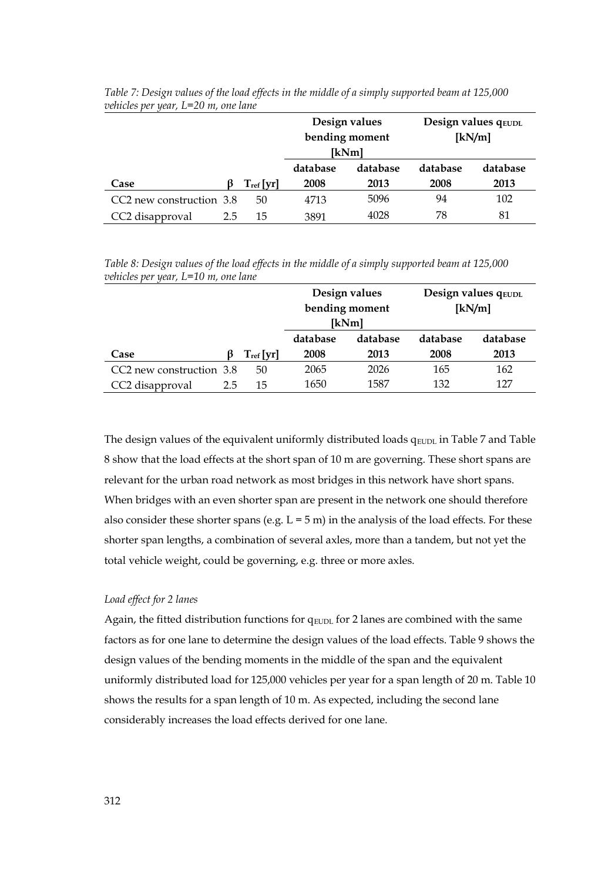|                          |     |                    | Design values<br>bending moment<br>[kNm] |          | Design values q EUDL<br>[kN/m] |          |
|--------------------------|-----|--------------------|------------------------------------------|----------|--------------------------------|----------|
|                          |     |                    | database                                 | database | database                       | database |
| Case                     |     | $T_{\rm ref}$ [yr] | 2008                                     | 2013     | 2008                           | 2013     |
| CC2 new construction 3.8 |     | 50                 | 4713                                     | 5096     | 94                             | 102      |
| CC2 disapproval          | 2.5 | 15                 | 3891                                     | 4028     | 78                             | 81       |

<span id="page-15-0"></span>*Table 7: Design values of the load effects in the middle of a simply supported beam at 125,000 vehicles per year, L=20 m, one lane*

<span id="page-15-1"></span>*Table 8: Design values of the load effects in the middle of a simply supported beam at 125,000 vehicles per year, L=10 m, one lane*

|                          |     |                | Design values<br>bending moment<br>[kNm] |                  | Design values qEUDL<br>[kN/m] |                  |
|--------------------------|-----|----------------|------------------------------------------|------------------|-------------------------------|------------------|
| Case                     |     | $T_{ref}$ [yr] | database<br>2008                         | database<br>2013 | database<br>2008              | database<br>2013 |
| CC2 new construction 3.8 |     | 50             | 2065                                     | 2026             | 165                           | 162              |
| CC2 disapproval          | 2.5 | 15             | 1650                                     | 1587             | 132                           | 127              |

The design values of the equivalent uniformly distributed loads  $q_{EUDL}$  i[n Table 7](#page-15-0) and Table [8](#page-15-1) show that the load effects at the short span of 10 m are governing. These short spans are relevant for the urban road network as most bridges in this network have short spans. When bridges with an even shorter span are present in the network one should therefore also consider these shorter spans (e.g.  $L = 5$  m) in the analysis of the load effects. For these shorter span lengths, a combination of several axles, more than a tandem, but not yet the total vehicle weight, could be governing, e.g. three or more axles.

#### *Load effect for 2 lanes*

Again, the fitted distribution functions for  $q_{EUDL}$  for 2 lanes are combined with the same factors as for one lane to determine the design values of the load effects[. Table 9](#page-16-0) shows the design values of the bending moments in the middle of the span and the equivalent uniformly distributed load for 125,000 vehicles per year for a span length of 20 m[. Table 10](#page-16-1) shows the results for a span length of 10 m. As expected, including the second lane considerably increases the load effects derived for one lane.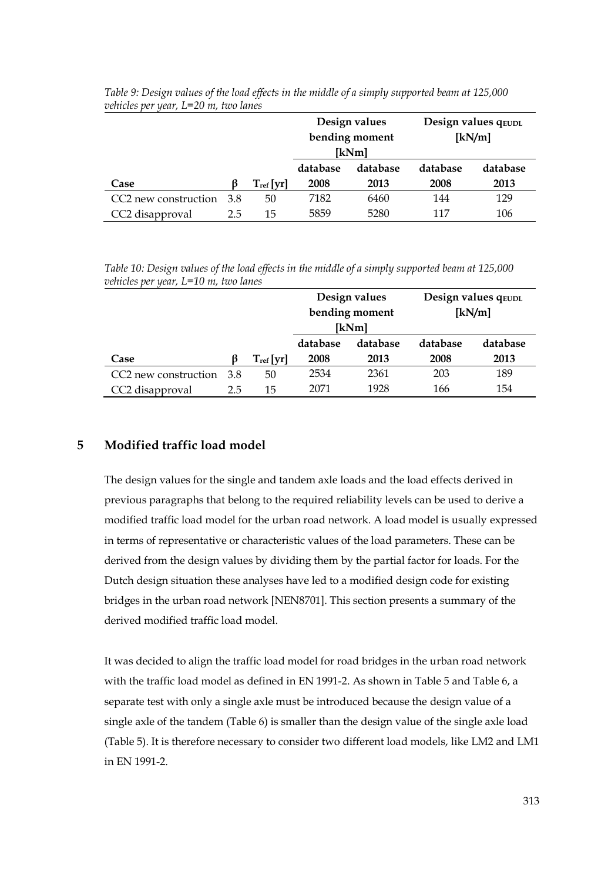|                                  |     |                | Design values<br>bending moment<br>[kNm] |          | Design values qEUDL<br>[kN/m] |          |
|----------------------------------|-----|----------------|------------------------------------------|----------|-------------------------------|----------|
|                                  |     |                | database                                 | database | database                      | database |
| Case                             |     | $T_{ref}$ [yr] | 2008                                     | 2013     | 2008                          | 2013     |
| CC <sub>2</sub> new construction | 3.8 | 50             | 7182                                     | 6460     | 144                           | 129      |
| CC2 disapproval                  | 2.5 | 15             | 5859                                     | 5280     | 117                           | 106      |

<span id="page-16-0"></span>*Table 9: Design values of the load effects in the middle of a simply supported beam at 125,000 vehicles per year, L=20 m, two lanes*

<span id="page-16-1"></span>*Table 10: Design values of the load effects in the middle of a simply supported beam at 125,000 vehicles per year, L=10 m, two lanes*

|                                  |     |                | Design values<br>bending moment<br>[kNm] |          | Design values q <sub>EUDL</sub><br>[kN/m] |          |
|----------------------------------|-----|----------------|------------------------------------------|----------|-------------------------------------------|----------|
|                                  |     |                | database                                 | database | database                                  | database |
| Case                             |     | $T_{ref}$ [yr] | 2008                                     | 2013     | 2008                                      | 2013     |
| CC <sub>2</sub> new construction | 3.8 | 50             | 2534                                     | 2361     | 203                                       | 189      |
| CC2 disapproval                  | 2.5 | 15             | 2071                                     | 1928     | 166                                       | 154      |

# **5 Modified traffic load model**

The design values for the single and tandem axle loads and the load effects derived in previous paragraphs that belong to the required reliability levels can be used to derive a modified traffic load model for the urban road network. A load model is usually expressed in terms of representative or characteristic values of the load parameters. These can be derived from the design values by dividing them by the partial factor for loads. For the Dutch design situation these analyses have led to a modified design code for existing bridges in the urban road network [NEN8701]. This section presents a summary of the derived modified traffic load model.

It was decided to align the traffic load model for road bridges in the urban road network with the traffic load model as defined in EN 1991-2. As shown in [Table 5](#page-14-0) and [Table 6,](#page-14-1) a separate test with only a single axle must be introduced because the design value of a single axle of the tandem [\(Table 6\)](#page-14-1) is smaller than the design value of the single axle load [\(Table 5\)](#page-14-0). It is therefore necessary to consider two different load models, like LM2 and LM1 in EN 1991-2.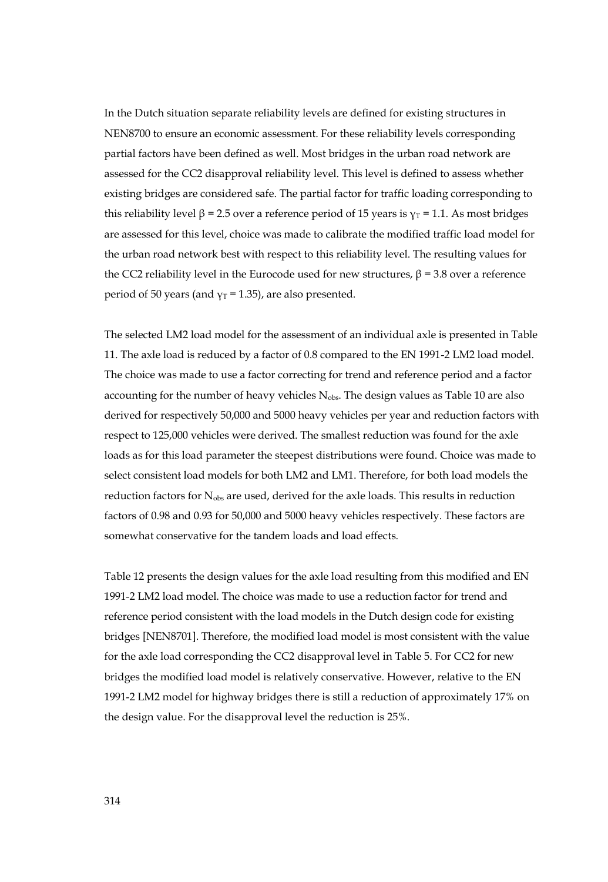In the Dutch situation separate reliability levels are defined for existing structures in NEN8700 to ensure an economic assessment. For these reliability levels corresponding partial factors have been defined as well. Most bridges in the urban road network are assessed for the CC2 disapproval reliability level. This level is defined to assess whether existing bridges are considered safe. The partial factor for traffic loading corresponding to this reliability level β = 2.5 over a reference period of 15 years is  $γ_T$  = 1.1. As most bridges are assessed for this level, choice was made to calibrate the modified traffic load model for the urban road network best with respect to this reliability level. The resulting values for the CC2 reliability level in the Eurocode used for new structures,  $β = 3.8$  over a reference period of 50 years (and  $y_T = 1.35$ ), are also presented.

The selected LM2 load model for the assessment of an individual axle is presented in [Table](#page-18-0)  [11.](#page-18-0) The axle load is reduced by a factor of 0.8 compared to the EN 1991-2 LM2 load model. The choice was made to use a factor correcting for trend and reference period and a factor accounting for the number of heavy vehicles  $N_{obs}$ . The design values as [Table 10](#page-16-1) are also derived for respectively 50,000 and 5000 heavy vehicles per year and reduction factors with respect to 125,000 vehicles were derived. The smallest reduction was found for the axle loads as for this load parameter the steepest distributions were found. Choice was made to select consistent load models for both LM2 and LM1. Therefore, for both load models the reduction factors for  $N_{obs}$  are used, derived for the axle loads. This results in reduction factors of 0.98 and 0.93 for 50,000 and 5000 heavy vehicles respectively. These factors are somewhat conservative for the tandem loads and load effects.

[Table 12](#page-18-1) presents the design values for the axle load resulting from this modified and EN 1991-2 LM2 load model. The choice was made to use a reduction factor for trend and reference period consistent with the load models in the Dutch design code for existing bridges [NEN8701]. Therefore, the modified load model is most consistent with the value for the axle load corresponding the CC2 disapproval level i[n Table 5.](#page-14-0) For CC2 for new bridges the modified load model is relatively conservative. However, relative to the EN 1991-2 LM2 model for highway bridges there is still a reduction of approximately 17% on the design value. For the disapproval level the reduction is 25%.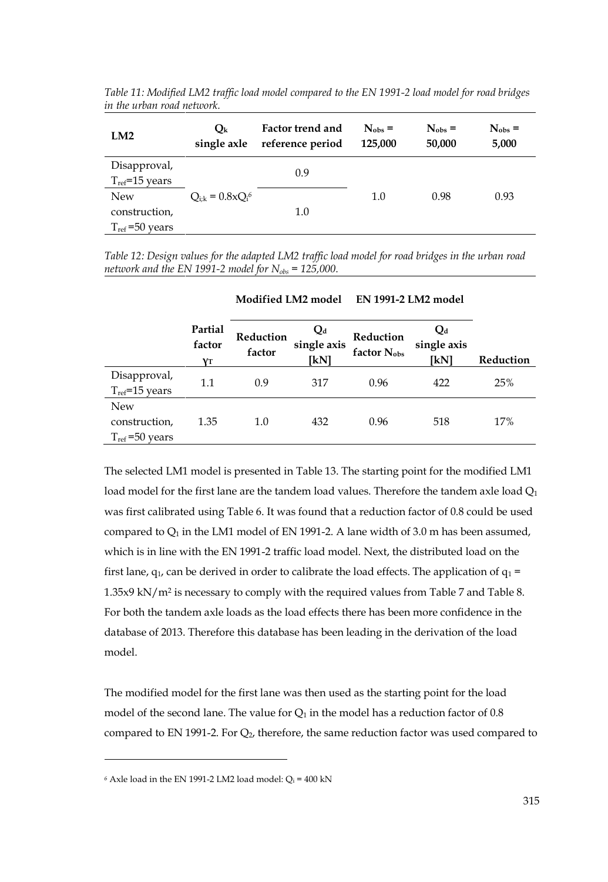| LM2                                                | $Q_{k}$<br>single axle | <b>Factor trend and</b><br>reference period | $N_{\rm obs}$ =<br>125,000 | $N_{\rm obs}$ =<br>50,000 | $N_{\rm obs}$ =<br>5,000 |
|----------------------------------------------------|------------------------|---------------------------------------------|----------------------------|---------------------------|--------------------------|
| Disapproval,<br>$T_{ref}$ =15 years                |                        | 0.9                                         |                            |                           |                          |
| <b>New</b><br>construction,<br>$T_{ref}$ =50 years | $Q_{i:k} = 0.8xQ_i^6$  | 1.0                                         | $1.0\,$                    | 0.98                      | 0.93                     |

<span id="page-18-0"></span>*Table 11: Modified LM2 traffic load model compared to the EN 1991-2 load model for road bridges in the urban road network.*

<span id="page-18-1"></span>*Table 12: Design values for the adapted LM2 traffic load model for road bridges in the urban road network and the EN 1991-2 model for Nobs = 125,000.*

|                                                    | Partial<br>factor<br>Yт | Reduction<br>factor | $Q_d$<br>single axis<br>ſkNl | Reduction<br>factor N <sub>obs</sub> | $Q_d$<br>single axis<br>[kN] | Reduction |
|----------------------------------------------------|-------------------------|---------------------|------------------------------|--------------------------------------|------------------------------|-----------|
| Disapproval,<br>$T_{ref}$ =15 years                | $1.1\,$                 | 0.9                 | 317                          | 0.96                                 | 422                          | 25%       |
| <b>New</b><br>construction,<br>$T_{ref}$ =50 years | 1.35                    | 1.0                 | 432                          | 0.96                                 | 518                          | 17%       |

# **Modified LM2 model EN 1991-2 LM2 model**

The selected LM1 model is presented in [Table 13.](#page-19-0) The starting point for the modified LM1 load model for the first lane are the tandem load values. Therefore the tandem axle load  $Q_1$ was first calibrated using [Table 6.](#page-14-1) It was found that a reduction factor of 0.8 could be used compared to  $Q_1$  in the LM1 model of EN 1991-2. A lane width of 3.0 m has been assumed, which is in line with the EN 1991-2 traffic load model. Next, the distributed load on the first lane,  $q_1$ , can be derived in order to calibrate the load effects. The application of  $q_1$  = 1.35x9 kN/m<sup>2</sup> is necessary to comply with the required values from [Table 7](#page-15-0) an[d Table 8.](#page-15-1)  For both the tandem axle loads as the load effects there has been more confidence in the database of 2013. Therefore this database has been leading in the derivation of the load model.

The modified model for the first lane was then used as the starting point for the load model of the second lane. The value for  $Q_1$  in the model has a reduction factor of 0.8 compared to EN 1991-2. For  $Q_2$ , therefore, the same reduction factor was used compared to

 $6$  Axle load in the EN 1991-2 LM2 load model:  $Q_i = 400$  kN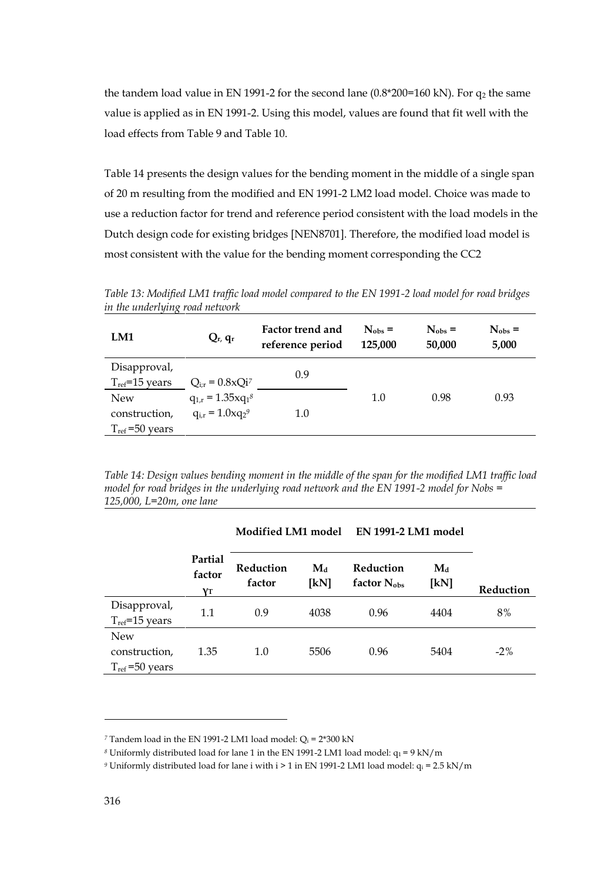the tandem load value in EN 1991-2 for the second lane  $(0.8*200=160 \text{ kN})$ . For  $q_2$  the same value is applied as in EN 1991-2. Using this model, values are found that fit well with the load effects from [Table 9](#page-16-0) an[d Table 10.](#page-16-1)

[Table](#page-19-1) 14 presents the design values for the bending moment in the middle of a single span of 20 m resulting from the modified and EN 1991-2 LM2 load model. Choice was made to use a reduction factor for trend and reference period consistent with the load models in the Dutch design code for existing bridges [NEN8701]. Therefore, the modified load model is most consistent with the value for the bending moment corresponding the CC2

| LM1                                                | $Q_r$ , qr                                      | Factor trend and<br>reference period | $N_{obs} =$<br>125.000 | $N_{\rm obs}$ =<br>50,000 | $N_{\rm obs}$ =<br>5,000 |
|----------------------------------------------------|-------------------------------------------------|--------------------------------------|------------------------|---------------------------|--------------------------|
| Disapproval,<br>$T_{ref}$ =15 years                | $Q_{ir} = 0.8xQi^7$                             | 0.9                                  |                        |                           |                          |
| <b>New</b><br>construction,<br>$T_{ref}$ =50 years | $q_{1,r} = 1.35xq_1^8$<br>$q_{i,r} = 1.0xq_2^9$ | 1.0                                  | $1.0\,$                | 0.98                      | 0.93                     |

<span id="page-19-0"></span>*Table 13: Modified LM1 traffic load model compared to the EN 1991-2 load model for road bridges in the underlying road network*

<span id="page-19-1"></span>*Table 14: Design values bending moment in the middle of the span for the modified LM1 traffic load model for road bridges in the underlying road network and the EN 1991-2 model for Nobs = 125,000, L=20m, one lane*

#### **Modified LM1 model EN 1991-2 LM1 model**

|                                                     | Partial<br>factor<br>YT | Reduction<br>factor | $\mathbf{M}_{\mathrm{d}}$<br>ſkNl | Reduction<br>factor N <sub>obs</sub> | $\mathbf{M}_{\mathrm{d}}$<br>[kN] | Reduction |
|-----------------------------------------------------|-------------------------|---------------------|-----------------------------------|--------------------------------------|-----------------------------------|-----------|
| Disapproval,<br>$T_{ref}$ =15 years                 | 1.1                     | 0.9                 | 4038                              | 0.96                                 | 4404                              | 8%        |
| <b>New</b><br>construction,<br>$T_{ref} = 50$ years | 1.35                    | 1.0                 | 5506                              | 0.96                                 | 5404                              | $-2\%$    |

 $7$  Tandem load in the EN 1991-2 LM1 load model:  $Q_i = 2*300$  kN

 $8$  Uniformly distributed load for lane 1 in the EN 1991-2 LM1 load model:  $q_1 = 9$  kN/m

<sup>&</sup>lt;sup>9</sup> Uniformly distributed load for lane i with i > 1 in EN 1991-2 LM1 load model:  $q_i = 2.5$  kN/m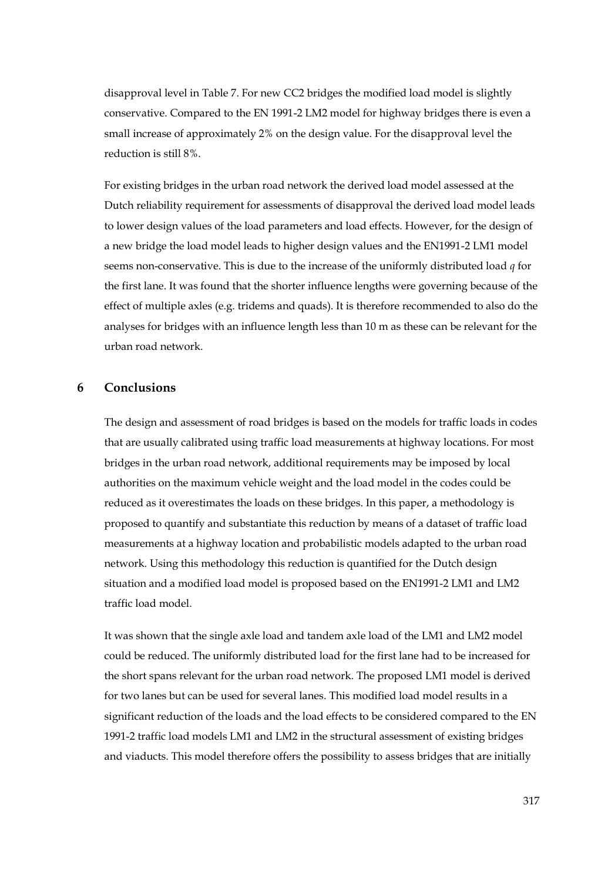disapproval level i[n Table 7.](#page-15-0) For new CC2 bridges the modified load model is slightly conservative. Compared to the EN 1991-2 LM2 model for highway bridges there is even a small increase of approximately 2% on the design value. For the disapproval level the reduction is still 8%.

For existing bridges in the urban road network the derived load model assessed at the Dutch reliability requirement for assessments of disapproval the derived load model leads to lower design values of the load parameters and load effects. However, for the design of a new bridge the load model leads to higher design values and the EN1991-2 LM1 model seems non-conservative. This is due to the increase of the uniformly distributed load *q* for the first lane. It was found that the shorter influence lengths were governing because of the effect of multiple axles (e.g. tridems and quads). It is therefore recommended to also do the analyses for bridges with an influence length less than 10 m as these can be relevant for the urban road network.

# **6 Conclusions**

The design and assessment of road bridges is based on the models for traffic loads in codes that are usually calibrated using traffic load measurements at highway locations. For most bridges in the urban road network, additional requirements may be imposed by local authorities on the maximum vehicle weight and the load model in the codes could be reduced as it overestimates the loads on these bridges. In this paper, a methodology is proposed to quantify and substantiate this reduction by means of a dataset of traffic load measurements at a highway location and probabilistic models adapted to the urban road network. Using this methodology this reduction is quantified for the Dutch design situation and a modified load model is proposed based on the EN1991-2 LM1 and LM2 traffic load model.

It was shown that the single axle load and tandem axle load of the LM1 and LM2 model could be reduced. The uniformly distributed load for the first lane had to be increased for the short spans relevant for the urban road network. The proposed LM1 model is derived for two lanes but can be used for several lanes. This modified load model results in a significant reduction of the loads and the load effects to be considered compared to the EN 1991-2 traffic load models LM1 and LM2 in the structural assessment of existing bridges and viaducts. This model therefore offers the possibility to assess bridges that are initially